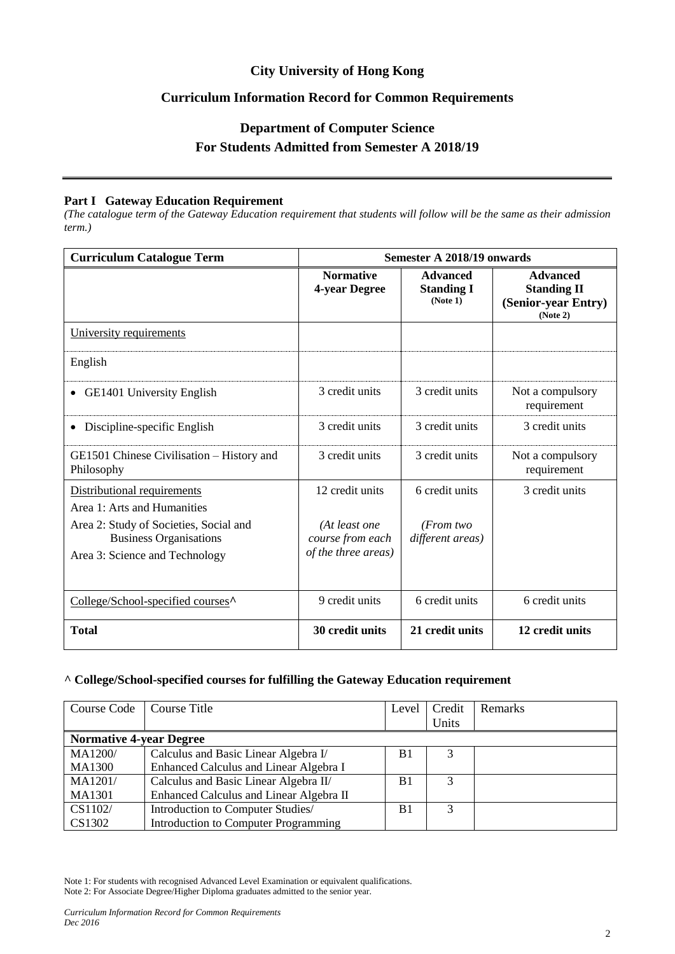## **City University of Hong Kong**

## **Curriculum Information Record for Common Requirements**

# **Department of Computer Science For Students Admitted from Semester A 2018/19**

#### **Part I Gateway Education Requirement**

*(The catalogue term of the Gateway Education requirement that students will follow will be the same as their admission term.)*

| <b>Curriculum Catalogue Term</b>                                                                          | Semester A 2018/19 onwards                               |                                                  |                                                                          |
|-----------------------------------------------------------------------------------------------------------|----------------------------------------------------------|--------------------------------------------------|--------------------------------------------------------------------------|
|                                                                                                           | <b>Normative</b><br>4-year Degree                        | <b>Advanced</b><br><b>Standing I</b><br>(Note 1) | <b>Advanced</b><br><b>Standing II</b><br>(Senior-year Entry)<br>(Note 2) |
| University requirements                                                                                   |                                                          |                                                  |                                                                          |
| English                                                                                                   |                                                          |                                                  |                                                                          |
| <b>GE1401 University English</b><br>$\bullet$                                                             | 3 credit units                                           | 3 credit units                                   | Not a compulsory<br>requirement                                          |
| Discipline-specific English<br>٠                                                                          | 3 credit units                                           | 3 credit units                                   | 3 credit units                                                           |
| GE1501 Chinese Civilisation – History and<br>Philosophy                                                   | 3 credit units                                           | 3 credit units                                   | Not a compulsory<br>requirement                                          |
| Distributional requirements<br>Area 1: Arts and Humanities                                                | 12 credit units                                          | 6 credit units                                   | 3 credit units                                                           |
| Area 2: Study of Societies, Social and<br><b>Business Organisations</b><br>Area 3: Science and Technology | (At least one<br>course from each<br>of the three areas) | (From two<br>different areas)                    |                                                                          |
| College/School-specified courses <sup>^</sup>                                                             | 9 credit units                                           | 6 credit units                                   | 6 credit units                                                           |
| <b>Total</b>                                                                                              | 30 credit units                                          | 21 credit units                                  | 12 credit units                                                          |

#### **^ College/School-specified courses for fulfilling the Gateway Education requirement**

| <b>Course Code</b>             | Course Title                            | Level          | Credit<br>Units | Remarks |
|--------------------------------|-----------------------------------------|----------------|-----------------|---------|
| <b>Normative 4-year Degree</b> |                                         |                |                 |         |
| <b>MA1200/</b>                 | Calculus and Basic Linear Algebra I/    | B <sub>1</sub> |                 |         |
| <b>MA1300</b>                  | Enhanced Calculus and Linear Algebra I  |                |                 |         |
| MA1201/                        | Calculus and Basic Linear Algebra II/   | B <sub>1</sub> | 3               |         |
| <b>MA1301</b>                  | Enhanced Calculus and Linear Algebra II |                |                 |         |
| CS1102/                        | Introduction to Computer Studies/       | B <sub>1</sub> | 3               |         |
| CS1302                         | Introduction to Computer Programming    |                |                 |         |

Note 1: For students with recognised Advanced Level Examination or equivalent qualifications.

Note 2: For Associate Degree/Higher Diploma graduates admitted to the senior year.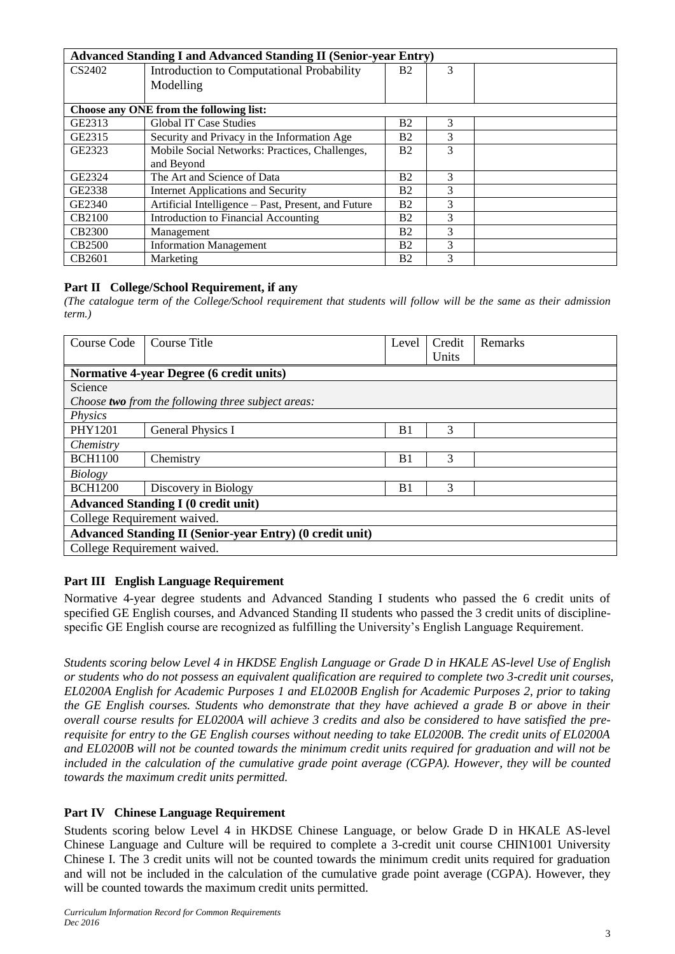| <b>Advanced Standing I and Advanced Standing II (Senior-year Entry)</b> |                                                     |                |   |  |
|-------------------------------------------------------------------------|-----------------------------------------------------|----------------|---|--|
| CS2402                                                                  | Introduction to Computational Probability           | B <sub>2</sub> | 3 |  |
|                                                                         | Modelling                                           |                |   |  |
|                                                                         |                                                     |                |   |  |
| Choose any ONE from the following list:                                 |                                                     |                |   |  |
| GE2313                                                                  | <b>Global IT Case Studies</b>                       | <b>B2</b>      | 3 |  |
| GE2315                                                                  | Security and Privacy in the Information Age         | Β2             | 3 |  |
| GE2323                                                                  | Mobile Social Networks: Practices, Challenges,      | B <sub>2</sub> | 3 |  |
|                                                                         | and Beyond                                          |                |   |  |
| GE2324                                                                  | The Art and Science of Data                         | B <sub>2</sub> | 3 |  |
| GE2338                                                                  | Internet Applications and Security                  | <b>B2</b>      | 3 |  |
| GE2340                                                                  | Artificial Intelligence – Past, Present, and Future | <b>B2</b>      | 3 |  |
| CB2100                                                                  | Introduction to Financial Accounting                | Β2             | 3 |  |
| <b>CB2300</b>                                                           | Management                                          | <b>B2</b>      | 3 |  |
| <b>CB2500</b>                                                           | <b>Information Management</b>                       | <b>B2</b>      | 3 |  |
| CB2601                                                                  | Marketing                                           | Β2             | 3 |  |

## **Part II College/School Requirement, if any**

*(The catalogue term of the College/School requirement that students will follow will be the same as their admission term.)*

| Course Code                                                     | Course Title                                              | Level          | Credit | Remarks |
|-----------------------------------------------------------------|-----------------------------------------------------------|----------------|--------|---------|
|                                                                 |                                                           |                | Units  |         |
|                                                                 | <b>Normative 4-year Degree (6 credit units)</b>           |                |        |         |
| Science                                                         |                                                           |                |        |         |
|                                                                 | Choose <b>two</b> from the following three subject areas: |                |        |         |
| Physics                                                         |                                                           |                |        |         |
| PHY1201                                                         | <b>General Physics I</b>                                  | B <sub>1</sub> | 3      |         |
| Chemistry                                                       |                                                           |                |        |         |
| <b>BCH1100</b>                                                  | Chemistry                                                 | B <sub>1</sub> | 3      |         |
| Biology                                                         |                                                           |                |        |         |
| <b>BCH1200</b>                                                  | Discovery in Biology                                      | B <sub>1</sub> | 3      |         |
| <b>Advanced Standing I (0 credit unit)</b>                      |                                                           |                |        |         |
| College Requirement waived.                                     |                                                           |                |        |         |
| <b>Advanced Standing II (Senior-year Entry) (0 credit unit)</b> |                                                           |                |        |         |
|                                                                 | College Requirement waived.                               |                |        |         |

## **Part III English Language Requirement**

Normative 4-year degree students and Advanced Standing I students who passed the 6 credit units of specified GE English courses, and Advanced Standing II students who passed the 3 credit units of disciplinespecific GE English course are recognized as fulfilling the University's English Language Requirement.

*Students scoring below Level 4 in HKDSE English Language or Grade D in HKALE AS-level Use of English or students who do not possess an equivalent qualification are required to complete two 3-credit unit courses, EL0200A English for Academic Purposes 1 and EL0200B English for Academic Purposes 2, prior to taking the GE English courses. Students who demonstrate that they have achieved a grade B or above in their overall course results for EL0200A will achieve 3 credits and also be considered to have satisfied the prerequisite for entry to the GE English courses without needing to take EL0200B. The credit units of EL0200A and EL0200B will not be counted towards the minimum credit units required for graduation and will not be included in the calculation of the cumulative grade point average (CGPA). However, they will be counted towards the maximum credit units permitted.*

# **Part IV Chinese Language Requirement**

Students scoring below Level 4 in HKDSE Chinese Language, or below Grade D in HKALE AS-level Chinese Language and Culture will be required to complete a 3-credit unit course CHIN1001 University Chinese I. The 3 credit units will not be counted towards the minimum credit units required for graduation and will not be included in the calculation of the cumulative grade point average (CGPA). However, they will be counted towards the maximum credit units permitted.